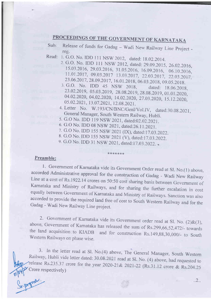- PROCEEDINGS OF THE GOVERNMENT OF KARNATAKA<br>Sub: Release of funds for Gadag Wadi New Railway Line Project reg.
- Read: 1. G.O. No. IDD 111 NSW 2012, dated: 18.02.2014.
	- 2. G.O. No. IDD 111 NSW 2012, dated: 29.09.2015, 26.02.2016, 15.03 .2016, 29.03.2016, 31.05.2016, 16.09.2016, 06.10.2016, 11.01.2017, 09.03.2017 13.03.2017, 22.03.2017, 22.03.2017,
	- 23.06.2017, 28.09.2017, 16.01.2018, 06.03.2018, 09.05.2018.<br>3. G.O. No. IDD 45 NSW 2018, dated: 18.06.2018. 23.02.2019, 05.03.2019, 28.08.2019, 28.08.2019, 01.01.2020, 04.02.2020, 04.02.2020, 14.02.2020, 27.03.2020, 15.12.2020, 05.02.2021, 13.07.2021, 12.08.2021.
	- 4. Letter No. W.193/CN/BNC/Genl/Vol.IV, dated:30.08.2021, General Manager, South Western Railway, Hubli.
	- 5. G.O No. IDD I 19 NSW 2021, dated:02.02.2021 .
	- 6. G.O No. IDD 08 NSW 2021, dated:26.11.2021.
	- 7. G.O No. IDD 155 NSW 2021 (IX), dated:17.03.2022.
	- 8. G.O No. IDD 155 NSW 2021 (V), dated:17.03.2022.

\*\*\*\*\*\*\*

9. G.O No. IDD 31 NSW 2021, dated:17.03.2022.

#### Preamble:

1. Government of Karnataka vide its Government Order read at Sl. No.(1) above, accorded Administrative approval for the construction of Gadag - Wadi New Railway Line at a cost of Rs.1922.14 crores on 50:50 cost sharing bas

2. Government of Karnataka vide its Govemment order read at Sl. No. (2)&(3), above, Government of Karnataka has released the sum of Rs.299,66,52,472/- towards the land acquisition to KIADB and for construction Rs.149,88,30,000/- to South Western Railways on phase wise.

3. In the letter read at Sl. No.(4) above, The General Manager, South Western Railway, Hubli vide letter dated: 30.08.2021 read at Sl. No. (4) above, had requested to release Rs.235.37 crore for the year 2020-21& 2021-22 (Rs.31.12 crore & Rs.204.25) up<sup>2</sup> Crore respectively)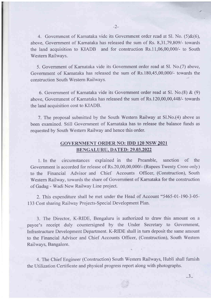4. Govcmmcnt of Karnataka vidc its Govcrnmcnt ordcr rcad at Sl. No. (5)&(6), above. Government of Karnataka has released the sum of Rs. 8,31,79,809/- towards the land acquisition to KIADB and for construction Rs.l 1,06,00,000/- to South Western Railways.

5. Covernment of Karnataka vide its Government order rcad at Sl. No.(7) abovc, Government of Karnataka has released the sum of Rs.180,45,00,000/- towards the construction South Western Railways.

6. Government of Karnataka vide its Government order read at Sl. No.(S) & (9) above, Government of Karnataka has released the sum of Rs.120,00,00,448/- towards the land acquisition cost to KIADB.

7. The proposal submitted by the South Western Railway at S1.No.(4) above as been examined. Still Government of Karnataka has to release the balance funds as requested by South Western Railway and hence this order.

# GOVERNMENT ORDER NO: IDD 120 NSW 2021 BENGALURU. DATED: 29.03.2022

1. In the circumstances explained in the Preamble, sanction of the Govemment is accorded for release of Rs.20,00,00,000/- (Rupees Twenty Crore only) to the Financial Advisor and Chief Accounts Officer, (Construction), South Western Railway, towards the share of Government of Karnataka for the construction of Gadag - Wadi New Railway Line project.

2. This expenditure shall be met under the Head of Account "5465-01-190-3-05- 133 Cost sharing Railway Projects-Special Development Plan.

3. The Director, K-RIDE, Bengaluru is authorized to draw this amount on <sup>a</sup> payee's receipt duly countersigned by the Under Secretary to Government, Infrastructure Development Department. K-RIDE shall in turn deposit the same amount to the Financial Advisor and Chief Accounts Officer, (Construction), South Western Railways, Bangalore.

4. The Chief Engineer (Construction) South Westem Railways, Hubli shall furnish the Utilization Certificate and physical progress report along with photographs.

a J